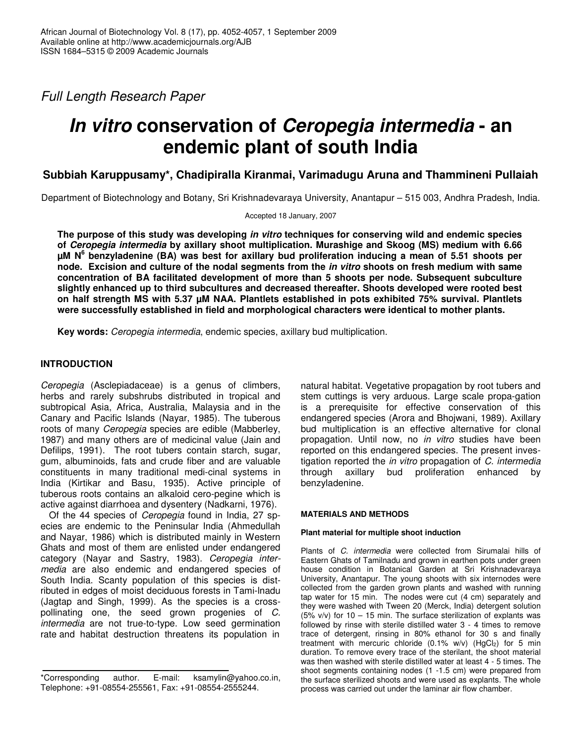*Full Length Research Paper*

# *In vitro* **conservation of** *Ceropegia intermedia* **- an endemic plant of south India**

# **Subbiah Karuppusamy\*, Chadipiralla Kiranmai, Varimadugu Aruna and Thammineni Pullaiah**

Department of Biotechnology and Botany, Sri Krishnadevaraya University, Anantapur – 515 003, Andhra Pradesh, India.

Accepted 18 January, 2007

**The purpose of this study was developing** *in vitro* **techniques for conserving wild and endemic species of** *Ceropegia intermedia* **by axillary shoot multiplication. Murashige and Skoog (MS) medium with 6.66**  $\mu$ M N<sup>6</sup> benzyladenine (BA) was best for axillary bud proliferation inducing a mean of 5.51 shoots per node. Excision and culture of the nodal segments from the in vitro shoots on fresh medium with same **concentration of BA facilitated development of more than 5 shoots per node. Subsequent subculture slightly enhanced up to third subcultures and decreased thereafter. Shoots developed were rooted best on half strength MS with 5.37 µM NAA. Plantlets established in pots exhibited 75% survival. Plantlets were successfully established in field and morphological characters were identical to mother plants.**

**Key words:** *Ceropegia intermedia*, endemic species, axillary bud multiplication.

# **INTRODUCTION**

*Ceropegia* (Asclepiadaceae) is a genus of climbers, herbs and rarely subshrubs distributed in tropical and subtropical Asia, Africa, Australia, Malaysia and in the Canary and Pacific Islands (Nayar, 1985). The tuberous roots of many *Ceropegia* species are edible (Mabberley, 1987) and many others are of medicinal value (Jain and Defilips, 1991). The root tubers contain starch, sugar, gum, albuminoids, fats and crude fiber and are valuable constituents in many traditional medi-cinal systems in India (Kirtikar and Basu, 1935). Active principle of tuberous roots contains an alkaloid cero-pegine which is active against diarrhoea and dysentery (Nadkarni, 1976).

Of the 44 species of *Ceropegia* found in India, 27 species are endemic to the Peninsular India (Ahmedullah and Nayar, 1986) which is distributed mainly in Western Ghats and most of them are enlisted under endangered category (Nayar and Sastry, 1983). *Ceropegia intermedia* are also endemic and endangered species of South India. Scanty population of this species is distributed in edges of moist deciduous forests in Tami-lnadu (Jagtap and Singh, 1999). As the species is a crosspollinating one, the seed grown progenies of *C. intermedia* are not true-to-type. Low seed germination rate and habitat destruction threatens its population in

natural habitat. Vegetative propagation by root tubers and stem cuttings is very arduous. Large scale propa-gation is a prerequisite for effective conservation of this endangered species (Arora and Bhojwani, 1989). Axillary bud multiplication is an effective alternative for clonal propagation. Until now, no *in vitro* studies have been reported on this endangered species. The present investigation reported the *in vitro* propagation of *C. intermedia* through axillary bud proliferation enhanced by benzyladenine.

# **MATERIALS AND METHODS**

# **Plant material for multiple shoot induction**

Plants of *C. intermedia* were collected from Sirumalai hills of Eastern Ghats of Tamilnadu and grown in earthen pots under green house condition in Botanical Garden at Sri Krishnadevaraya University, Anantapur. The young shoots with six internodes were collected from the garden grown plants and washed with running tap water for 15 min. The nodes were cut (4 cm) separately and they were washed with Tween 20 (Merck, India) detergent solution (5% v/v) for  $10 - 15$  min. The surface sterilization of explants was followed by rinse with sterile distilled water 3 - 4 times to remove trace of detergent, rinsing in 80% ethanol for 30 s and finally treatment with mercuric chloride (0.1% w/v) (HgCl2) for 5 min duration. To remove every trace of the sterilant, the shoot material was then washed with sterile distilled water at least 4 - 5 times. The shoot segments containing nodes (1 -1.5 cm) were prepared from the surface sterilized shoots and were used as explants. The whole process was carried out under the laminar air flow chamber.

<sup>\*</sup>Corresponding author. E-mail: ksamylin@yahoo.co.in, Telephone: +91-08554-255561, Fax: +91-08554-2555244.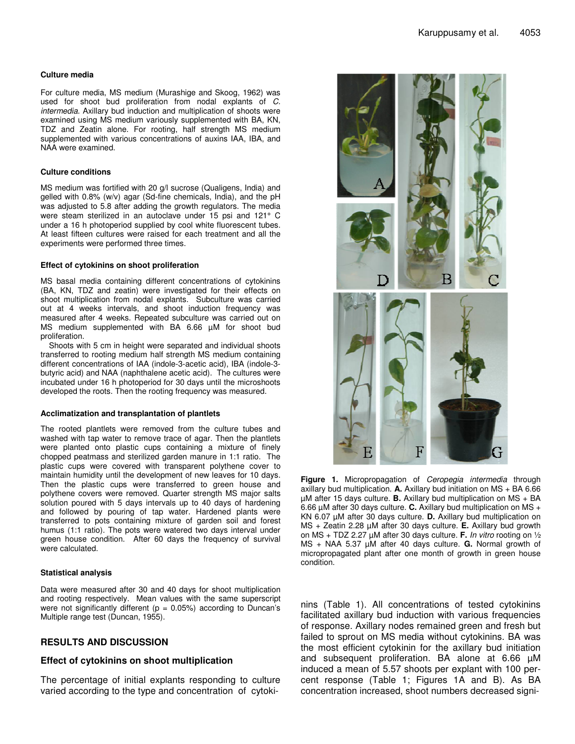#### **Culture media**

For culture media, MS medium (Murashige and Skoog, 1962) was used for shoot bud proliferation from nodal explants of *C. intermedia*. Axillary bud induction and multiplication of shoots were examined using MS medium variously supplemented with BA, KN, TDZ and Zeatin alone. For rooting, half strength MS medium supplemented with various concentrations of auxins IAA, IBA, and NAA were examined.

#### **Culture conditions**

MS medium was fortified with 20 g/l sucrose (Qualigens, India) and gelled with 0.8% (w/v) agar (Sd-fine chemicals, India), and the pH was adjusted to 5.8 after adding the growth regulators. The media were steam sterilized in an autoclave under 15 psi and 121° C under a 16 h photoperiod supplied by cool white fluorescent tubes. At least fifteen cultures were raised for each treatment and all the experiments were performed three times.

#### **Effect of cytokinins on shoot proliferation**

MS basal media containing different concentrations of cytokinins (BA, KN, TDZ and zeatin) were investigated for their effects on shoot multiplication from nodal explants. Subculture was carried out at 4 weeks intervals, and shoot induction frequency was measured after 4 weeks. Repeated subculture was carried out on MS medium supplemented with BA 6.66  $\mu$ M for shoot bud proliferation.

Shoots with 5 cm in height were separated and individual shoots transferred to rooting medium half strength MS medium containing different concentrations of IAA (indole-3-acetic acid), IBA (indole-3 butyric acid) and NAA (naphthalene acetic acid). The cultures were incubated under 16 h photoperiod for 30 days until the microshoots developed the roots. Then the rooting frequency was measured.

#### **Acclimatization and transplantation of plantlets**

The rooted plantlets were removed from the culture tubes and washed with tap water to remove trace of agar. Then the plantlets were planted onto plastic cups containing a mixture of finely chopped peatmass and sterilized garden manure in 1:1 ratio. The plastic cups were covered with transparent polythene cover to maintain humidity until the development of new leaves for 10 days. Then the plastic cups were transferred to green house and polythene covers were removed. Quarter strength MS major salts solution poured with 5 days intervals up to 40 days of hardening and followed by pouring of tap water. Hardened plants were transferred to pots containing mixture of garden soil and forest humus (1:1 ratio). The pots were watered two days interval under green house condition. After 60 days the frequency of survival were calculated.

#### **Statistical analysis**

Data were measured after 30 and 40 days for shoot multiplication and rooting respectively. Mean values with the same superscript were not significantly different ( $p = 0.05\%$ ) according to Duncan's Multiple range test (Duncan, 1955).

# **RESULTS AND DISCUSSION**

### **Effect of cytokinins on shoot multiplication**

The percentage of initial explants responding to culture varied according to the type and concentration of cytoki-



**Figure 1.** Micropropagation of *Ceropegia intermedia* through axillary bud multiplication. **A.** Axillary bud initiation on MS + BA 6.66 µM after 15 days culture. **B.** Axillary bud multiplication on MS + BA 6.66 µM after 30 days culture. **C.** Axillary bud multiplication on MS + KN 6.07 µM after 30 days culture. **D.** Axillary bud multiplication on MS + Zeatin 2.28 µM after 30 days culture. **E.** Axillary bud growth on MS + TDZ 2.27 µM after 30 days culture. **F.** *In vitro* rooting on ½ MS + NAA 5.37 µM after 40 days culture. **G.** Normal growth of micropropagated plant after one month of growth in green house condition.

nins (Table 1). All concentrations of tested cytokinins facilitated axillary bud induction with various frequencies of response. Axillary nodes remained green and fresh but failed to sprout on MS media without cytokinins. BA was the most efficient cytokinin for the axillary bud initiation and subsequent proliferation. BA alone at 6.66 µM induced a mean of 5.57 shoots per explant with 100 percent response (Table 1; Figures 1A and B). As BA concentration increased, shoot numbers decreased signi-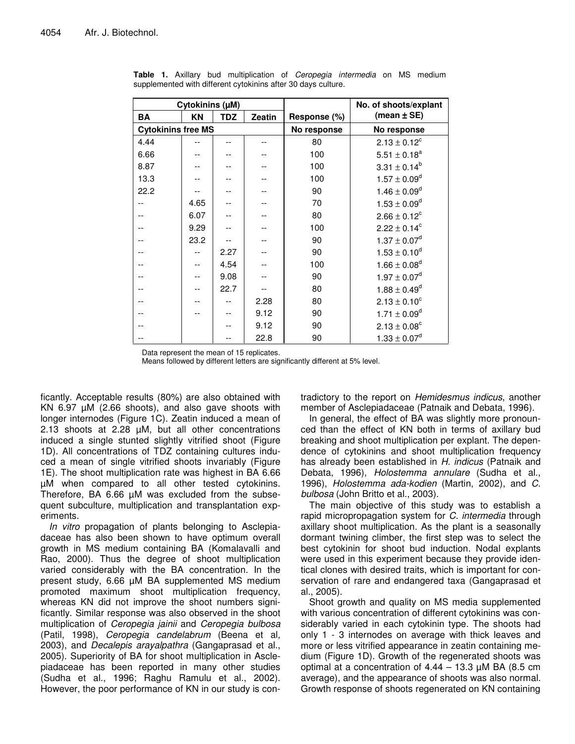| Cytokinins (µM)           |      |            |               |              | No. of shoots/explant   |
|---------------------------|------|------------|---------------|--------------|-------------------------|
| <b>BA</b>                 | ΚN   | <b>TDZ</b> | <b>Zeatin</b> | Response (%) | (mean $\pm$ SE)         |
| <b>Cytokinins free MS</b> |      |            |               | No response  | No response             |
| 4.44                      |      |            |               | 80           | $2.13 \pm 0.12^c$       |
| 6.66                      |      |            |               | 100          | $5.51 \pm 0.18^a$       |
| 8.87                      |      |            |               | 100          | $3.31 \pm 0.14^b$       |
| 13.3                      |      |            |               | 100          | $1.57 \pm 0.09^d$       |
| 22.2                      |      |            |               | 90           | $1.46 \pm 0.09^d$       |
|                           | 4.65 |            |               | 70           | $1.53 \pm 0.09^d$       |
|                           | 6.07 |            |               | 80           | $2.66 \pm 0.12^c$       |
|                           | 9.29 |            |               | 100          | $2.22 \pm 0.14^c$       |
|                           | 23.2 |            |               | 90           | $1.37 \pm 0.07^d$       |
|                           |      | 2.27       |               | 90           | $1.53 \pm 0.10^d$       |
|                           |      | 4.54       |               | 100          | $1.66 \pm 0.08^d$       |
|                           |      | 9.08       |               | 90           | $1.97 \pm 0.07^d$       |
|                           |      | 22.7       |               | 80           | $1.88 \pm 0.49^d$       |
|                           |      |            | 2.28          | 80           | $2.13 \pm 0.10^c$       |
|                           |      |            | 9.12          | 90           | $1.71 \pm 0.09^d$       |
|                           |      |            | 9.12          | 90           | $2.13 \pm 0.08^{\circ}$ |
|                           |      |            | 22.8          | 90           | $1.33 \pm 0.07^d$       |

**Table 1.** Axillary bud multiplication of *Ceropegia intermedia* on MS medium supplemented with different cytokinins after 30 days culture.

Data represent the mean of 15 replicates.

Means followed by different letters are significantly different at 5% level.

ficantly. Acceptable results (80%) are also obtained with KN 6.97 µM (2.66 shoots), and also gave shoots with longer internodes (Figure 1C). Zeatin induced a mean of 2.13 shoots at 2.28 µM, but all other concentrations induced a single stunted slightly vitrified shoot (Figure 1D). All concentrations of TDZ containing cultures induced a mean of single vitrified shoots invariably (Figure 1E). The shoot multiplication rate was highest in BA 6.66 µM when compared to all other tested cytokinins. Therefore, BA 6.66 µM was excluded from the subsequent subculture, multiplication and transplantation experiments.

*In vitro* propagation of plants belonging to Asclepiadaceae has also been shown to have optimum overall growth in MS medium containing BA (Komalavalli and Rao, 2000). Thus the degree of shoot multiplication varied considerably with the BA concentration. In the present study, 6.66 µM BA supplemented MS medium promoted maximum shoot multiplication frequency, whereas KN did not improve the shoot numbers significantly. Similar response was also observed in the shoot multiplication of *Ceropegia jainii* and *Ceropegia bulbosa* (Patil, 1998), *Ceropegia candelabrum* (Beena et al*,* 2003), and *Decalepis arayalpathra* (Gangaprasad et al., 2005). Superiority of BA for shoot multiplication in Asclepiadaceae has been reported in many other studies (Sudha et al., 1996; Raghu Ramulu et al., 2002). However, the poor performance of KN in our study is contradictory to the report on *Hemidesmus indicus*, another member of Asclepiadaceae (Patnaik and Debata, 1996).

In general, the effect of BA was slightly more pronounced than the effect of KN both in terms of axillary bud breaking and shoot multiplication per explant. The dependence of cytokinins and shoot multiplication frequency has already been established in *H. indicus* (Patnaik and Debata, 1996), *Holostemma annulare* (Sudha et al., 1996), *Holostemma ada-kodien* (Martin, 2002), and *C. bulbosa* (John Britto et al., 2003).

The main objective of this study was to establish a rapid micropropagation system for *C. intermedia* through axillary shoot multiplication. As the plant is a seasonally dormant twining climber, the first step was to select the best cytokinin for shoot bud induction. Nodal explants were used in this experiment because they provide identical clones with desired traits, which is important for conservation of rare and endangered taxa (Gangaprasad et al., 2005).

Shoot growth and quality on MS media supplemented with various concentration of different cytokinins was considerably varied in each cytokinin type. The shoots had only 1 - 3 internodes on average with thick leaves and more or less vitrified appearance in zeatin containing medium (Figure 1D). Growth of the regenerated shoots was optimal at a concentration of  $4.44 - 13.3 \mu M$  BA (8.5 cm average), and the appearance of shoots was also normal. Growth response of shoots regenerated on KN containing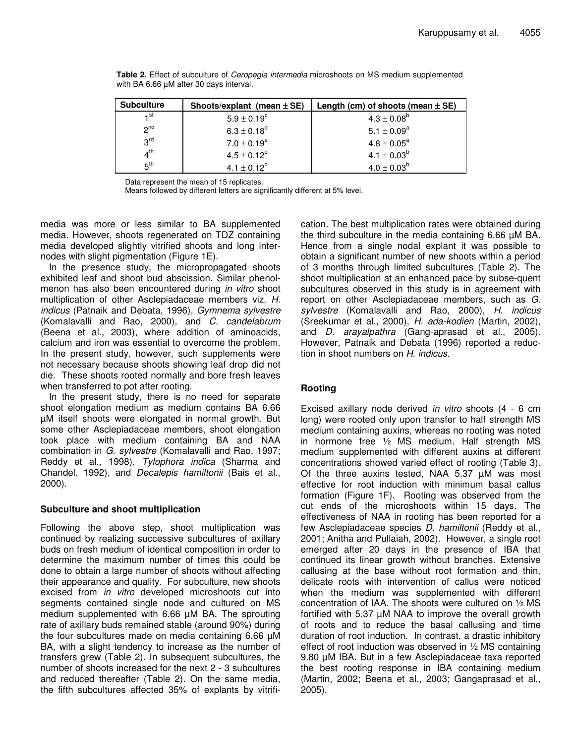| <b>Subculture</b> | Shoots/explant (mean $\pm$ SE) | Length (cm) of shoots (mean $\pm$ SE) |
|-------------------|--------------------------------|---------------------------------------|
| 1 <sup>st</sup>   | $5.9 \pm 0.19^c$               | $4.3 \pm 0.08^b$                      |
| 2 <sub>nd</sub>   | $6.3 \pm 0.18^{b}$             | $5.1 \pm 0.09^a$                      |
| 3 <sup>rd</sup>   | $7.0 \pm 0.19^a$               | $4.8 \pm 0.05^a$                      |
| 4 <sup>th</sup>   | $4.5 \pm 0.12^d$               | 4.1 $\pm$ 0.03 <sup>b</sup>           |
| 5 <sup>th</sup>   | $4.1 \pm 0.12^d$               | $4.0 \pm 0.03^b$                      |

**Table 2.** Effect of subculture of *Ceropegia intermedia* microshoots on MS medium supplemented with BA 6.66  $\mu$ M after 30 days interval.

Data represent the mean of 15 replicates.

Means followed by different letters are significantly different at 5% level.

media was more or less similar to BA supplemented media. However, shoots regenerated on TDZ containing media developed slightly vitrified shoots and long internodes with slight pigmentation (Figure 1E).

In the presence study, the micropropagated shoots exhibited leaf and shoot bud abscission. Similar phenolmenon has also been encountered during *in vitro* shoot multiplication of other Asclepiadaceae members viz. *H. indicus* (Patnaik and Debata, 1996), *Gymnema sylvestre* (Komalavalli and Rao, 2000), and *C. candelabrum* (Beena et al., 2003), where addition of aminoacids, calcium and iron was essential to overcome the problem. In the present study, however, such supplements were not necessary because shoots showing leaf drop did not die. These shoots rooted normally and bore fresh leaves when transferred to pot after rooting.

In the present study, there is no need for separate shoot elongation medium as medium contains BA 6.66 µM itself shoots were elongated in normal growth. But some other Asclepiadaceae members, shoot elongation took place with medium containing BA and NAA combination in *G. sylvestre* (Komalavalli and Rao, 1997; Reddy et al., 1998), *Tylophora indica* (Sharma and Chandel, 1992), and *Decalepis hamiltonii* (Bais et al., 2000).

# **Subculture and shoot multiplication**

Following the above step, shoot multiplication was continued by realizing successive subcultures of axillary buds on fresh medium of identical composition in order to determine the maximum number of times this could be done to obtain a large number of shoots without affecting their appearance and quality. For subculture, new shoots excised from *in vitro* developed microshoots cut into segments contained single node and cultured on MS medium supplemented with 6.66 µM BA. The sprouting rate of axillary buds remained stable (around 90%) during the four subcultures made on media containing 6.66 µM BA, with a slight tendency to increase as the number of transfers grew (Table 2). In subsequent subcultures, the number of shoots increased for the next 2 - 3 subcultures and reduced thereafter (Table 2). On the same media, the fifth subcultures affected 35% of explants by vitrification. The best multiplication rates were obtained during the third subculture in the media containing 6.66 µM BA. Hence from a single nodal explant it was possible to obtain a significant number of new shoots within a period of 3 months through limited subcultures (Table 2). The shoot multiplication at an enhanced pace by subse-quent subcultures observed in this study is in agreement with report on other Asclepiadaceae members, such as *G. sylvestre* (Komalavalli and Rao, 2000), *H. indicus* (Sreekumar et al., 2000), *H. ada-kodien* (Martin, 2002), and *D. arayalpathra* (Gang-aprasad et al., 2005). However, Patnaik and Debata (1996) reported a reduction in shoot numbers on *H. indicus*.

# **Rooting**

Excised axillary node derived *in vitro* shoots (4 - 6 cm long) were rooted only upon transfer to half strength MS medium containing auxins, whereas no rooting was noted in hormone free  $\frac{1}{2}$  MS medium. Half strength MS medium supplemented with different auxins at different concentrations showed varied effect of rooting (Table 3). Of the three auxins tested, NAA 5.37 µM was most effective for root induction with minimum basal callus formation (Figure 1F). Rooting was observed from the cut ends of the microshoots within 15 days. The effectiveness of NAA in rooting has been reported for a few Asclepiadaceae species *D. hamiltonii* (Reddy et al., 2001; Anitha and Pullaiah, 2002). However, a single root emerged after 20 days in the presence of IBA that continued its linear growth without branches. Extensive callusing at the base without root formation and thin, delicate roots with intervention of callus were noticed when the medium was supplemented with different concentration of IAA. The shoots were cultured on ½ MS fortified with 5.37 µM NAA to improve the overall growth of roots and to reduce the basal callusing and time duration of root induction. In contrast, a drastic inhibitory effect of root induction was observed in ½ MS containing 9.80 µM IBA. But in a few Asclepiadaceae taxa reported the best rooting response in IBA containing medium (Martin, 2002; Beena et al., 2003; Gangaprasad et al., 2005).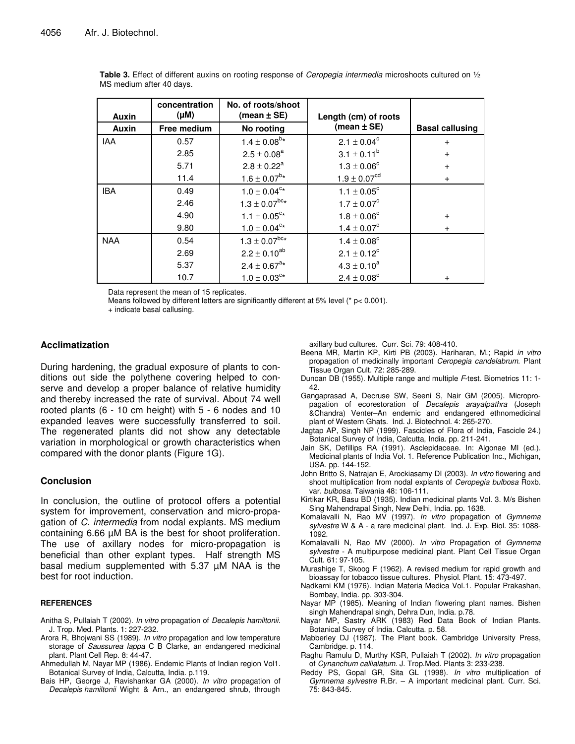| concentration<br>(Mu)<br>Auxin |             | No. of roots/shoot<br>(mean $\pm$ SE) | Length (cm) of roots   |                        |
|--------------------------------|-------------|---------------------------------------|------------------------|------------------------|
| Auxin                          | Free medium | No rooting                            | (mean $\pm$ SE)        | <b>Basal callusing</b> |
| <b>IAA</b>                     | 0.57        | $1.4 \pm 0.08^{b*}$                   | $2.1 \pm 0.04^c$       | $\ddot{}$              |
|                                | 2.85        | $2.5 \pm 0.08^a$                      | $3.1 \pm 0.11^{b}$     | $+$                    |
|                                | 5.71        | $2.8 \pm 0.22^a$                      | $1.3 \pm 0.06^{\circ}$ | $+$                    |
|                                | 11.4        | $1.6 \pm 0.07^{b*}$                   | $1.9 \pm 0.07^{cd}$    | $+$                    |
| <b>IBA</b>                     | 0.49        | $1.0 \pm 0.04^{\text{c}}$ *           | $1.1 \pm 0.05^{\circ}$ |                        |
|                                | 2.46        | $1.3\pm0.07^{\text{bc}}\star$         | $1.7 \pm 0.07^c$       |                        |
|                                | 4.90        | $1.1 \pm 0.05^{\text{c}}$ *           | $1.8 \pm 0.06^{\circ}$ | $+$                    |
|                                | 9.80        | $1.0 \pm 0.04$ <sup>c*</sup>          | $1.4 \pm 0.07^c$       | $\ddot{}$              |
| <b>NAA</b>                     | 0.54        | $1.3 \pm 0.07^{\text{bc}}*$           | $1.4 \pm 0.08^{\circ}$ |                        |
|                                | 2.69        | $2.2 \pm 0.10^{ab}$                   | $2.1 \pm 0.12^c$       |                        |
|                                | 5.37        | $2.4 \pm 0.67$ <sup>a*</sup>          | $4.3 \pm 0.10^a$       |                        |
|                                | 10.7        | $1.0 \pm 0.03$ <sup>c*</sup>          | $2.4 \pm 0.08^{\circ}$ | $\overline{+}$         |

**Table 3.** Effect of different auxins on rooting response of *Ceropegia intermedia* microshoots cultured on ½ MS medium after 40 days.

Data represent the mean of 15 replicates.

Means followed by different letters are significantly different at 5% level (\* p< 0.001).

+ indicate basal callusing.

# **Acclimatization**

During hardening, the gradual exposure of plants to conditions out side the polythene covering helped to conserve and develop a proper balance of relative humidity and thereby increased the rate of survival. About 74 well rooted plants (6 - 10 cm height) with 5 - 6 nodes and 10 expanded leaves were successfully transferred to soil. The regenerated plants did not show any detectable variation in morphological or growth characteristics when compared with the donor plants (Figure 1G).

# **Conclusion**

In conclusion, the outline of protocol offers a potential system for improvement, conservation and micro-propagation of *C. intermedia* from nodal explants. MS medium containing 6.66 µM BA is the best for shoot proliferation. The use of axillary nodes for micro-propagation is beneficial than other explant types. Half strength MS basal medium supplemented with 5.37 µM NAA is the best for root induction.

#### **REFERENCES**

- Anitha S, Pullaiah T (2002). *In vitro* propagation of *Decalepis hamiltonii*. J. Trop. Med. Plants. 1: 227-232.
- Arora R, Bhojwani SS (1989). *In vitro* propagation and low temperature storage of *Saussurea lappa* C B Clarke, an endangered medicinal plant. Plant Cell Rep. 8: 44-47.
- Ahmedullah M, Nayar MP (1986). Endemic Plants of Indian region Vol1. Botanical Survey of India, Calcutta, India. p.119.
- Bais HP, George J, Ravishankar GA (2000). *In vitro* propagation of *Decalepis hamiltonii* Wight & Arn., an endangered shrub, through

axillary bud cultures. Curr. Sci. 79: 408-410.

- Beena MR, Martin KP, Kirti PB (2003). Hariharan, M.; Rapid *in vitro* propagation of medicinally important *Ceropegia candelabrum*. Plant Tissue Organ Cult. 72: 285-289.
- Duncan DB (1955). Multiple range and multiple *F*-test. Biometrics 11: 1- 42.
- Gangaprasad A, Decruse SW, Seeni S, Nair GM (2005). Micropropagation of ecorestoration of *Decalepis arayalpathra* (Joseph &Chandra) Venter–An endemic and endangered ethnomedicinal plant of Western Ghats. Ind. J. Biotechnol. 4: 265-270.
- Jagtap AP, Singh NP (1999). Fascicles of Flora of India, Fascicle 24.) Botanical Survey of India, Calcutta, India. pp. 211-241.
- Jain SK, Defillips RA (1991). Asclepidaceae. In: Algonae MI (ed.). Medicinal plants of India Vol. 1. Reference Publication Inc., Michigan, USA. pp. 144-152.
- John Britto S, Natrajan E, Arockiasamy DI (2003). *In vitro* flowering and shoot multiplication from nodal explants of *Ceropegia bulbosa* Roxb. var. *bulbosa*. Taiwania 48: 106-111.
- Kirtikar KR, Basu BD (1935). Indian medicinal plants Vol. 3. M/s Bishen Sing Mahendrapal Singh, New Delhi, India. pp. 1638.
- Komalavalli N, Rao MV (1997). *In vitro* propagation of *Gymnema sylvestre* W & A - a rare medicinal plant. Ind. J. Exp. Biol. 35: 1088- 1092.
- Komalavalli N, Rao MV (2000). *In vitro* Propagation of *Gymnema sylvestre* - A multipurpose medicinal plant. Plant Cell Tissue Organ Cult. 61: 97-105.
- Murashige T, Skoog F (1962). A revised medium for rapid growth and bioassay for tobacco tissue cultures. Physiol. Plant. 15: 473-497.
- Nadkarni KM (1976). Indian Materia Medica Vol.1. Popular Prakashan, Bombay, India. pp. 303-304.
- Nayar MP (1985). Meaning of Indian flowering plant names. Bishen singh Mahendrapal singh, Dehra Dun, India. p.78.
- Nayar MP, Sastry ARK (1983) Red Data Book of Indian Plants. Botanical Survey of India. Calcutta. p. 58.
- Mabberley DJ (1987). The Plant book. Cambridge University Press, Cambridge. p. 114.
- Raghu Ramulu D, Murthy KSR, Pullaiah T (2002). *In vitro* propagation of *Cynanchum callialatum*. J. Trop.Med. Plants 3: 233-238.
- Reddy PS, Gopal GR, Sita GL (1998). *In vitro* multiplication of *Gymnema sylvestre* R.Br. – A important medicinal plant. Curr. Sci. 75: 843-845.